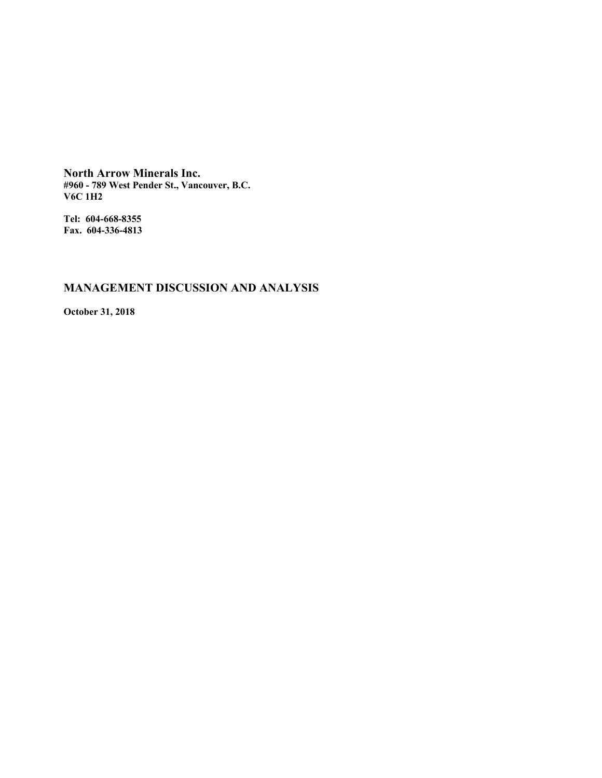**North Arrow Minerals Inc. #960 - 789 West Pender St., Vancouver, B.C. V6C 1H2**

**Tel: 604-668-8355 Fax. 604-336-4813**

# **MANAGEMENT DISCUSSION AND ANALYSIS**

**October 31, 2018**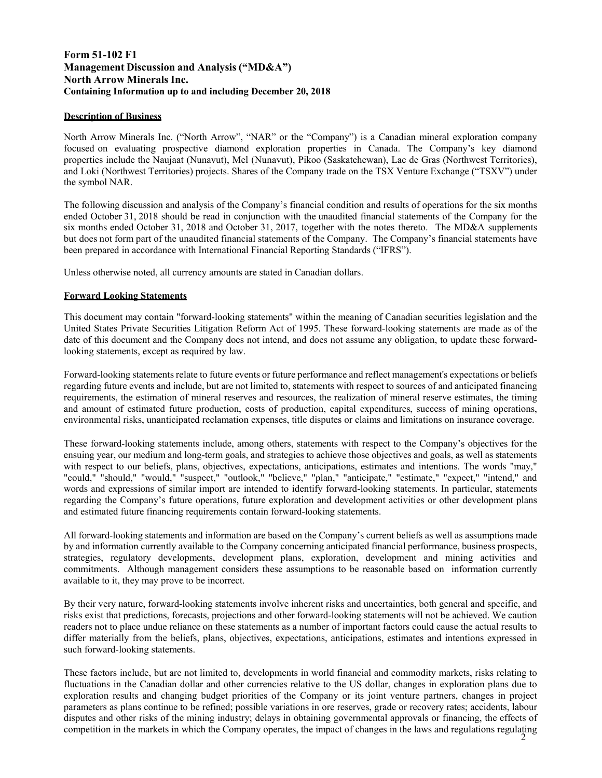# **Form 51-102 F1 Management Discussion and Analysis ("MD&A") North Arrow Minerals Inc. Containing Information up to and including December 20, 2018**

# **Description of Business**

North Arrow Minerals Inc. ("North Arrow", "NAR" or the "Company") is a Canadian mineral exploration company focused on evaluating prospective diamond exploration properties in Canada. The Company's key diamond properties include the Naujaat (Nunavut), Mel (Nunavut), Pikoo (Saskatchewan), Lac de Gras (Northwest Territories), and Loki (Northwest Territories) projects. Shares of the Company trade on the TSX Venture Exchange ("TSXV") under the symbol NAR.

The following discussion and analysis of the Company's financial condition and results of operations for the six months ended October 31, 2018 should be read in conjunction with the unaudited financial statements of the Company for the six months ended October 31, 2018 and October 31, 2017, together with the notes thereto. The MD&A supplements but does not form part of the unaudited financial statements of the Company. The Company's financial statements have been prepared in accordance with International Financial Reporting Standards ("IFRS").

Unless otherwise noted, all currency amounts are stated in Canadian dollars.

## **Forward Looking Statements**

This document may contain "forward-looking statements" within the meaning of Canadian securities legislation and the United States Private Securities Litigation Reform Act of 1995. These forward-looking statements are made as of the date of this document and the Company does not intend, and does not assume any obligation, to update these forwardlooking statements, except as required by law.

Forward-looking statements relate to future events or future performance and reflect management's expectations or beliefs regarding future events and include, but are not limited to, statements with respect to sources of and anticipated financing requirements, the estimation of mineral reserves and resources, the realization of mineral reserve estimates, the timing and amount of estimated future production, costs of production, capital expenditures, success of mining operations, environmental risks, unanticipated reclamation expenses, title disputes or claims and limitations on insurance coverage.

These forward-looking statements include, among others, statements with respect to the Company's objectives for the ensuing year, our medium and long-term goals, and strategies to achieve those objectives and goals, as well as statements with respect to our beliefs, plans, objectives, expectations, anticipations, estimates and intentions. The words "may," "could," "should," "would," "suspect," "outlook," "believe," "plan," "anticipate," "estimate," "expect," "intend," and words and expressions of similar import are intended to identify forward-looking statements. In particular, statements regarding the Company's future operations, future exploration and development activities or other development plans and estimated future financing requirements contain forward-looking statements.

All forward-looking statements and information are based on the Company's current beliefs as well as assumptions made by and information currently available to the Company concerning anticipated financial performance, business prospects, strategies, regulatory developments, development plans, exploration, development and mining activities and commitments. Although management considers these assumptions to be reasonable based on information currently available to it, they may prove to be incorrect.

By their very nature, forward-looking statements involve inherent risks and uncertainties, both general and specific, and risks exist that predictions, forecasts, projections and other forward-looking statements will not be achieved. We caution readers not to place undue reliance on these statements as a number of important factors could cause the actual results to differ materially from the beliefs, plans, objectives, expectations, anticipations, estimates and intentions expressed in such forward-looking statements.

competition in the markets in which the Company operates, the impact of changes in the laws and regulations regulating  $\frac{2}{3}$ These factors include, but are not limited to, developments in world financial and commodity markets, risks relating to fluctuations in the Canadian dollar and other currencies relative to the US dollar, changes in exploration plans due to exploration results and changing budget priorities of the Company or its joint venture partners, changes in project parameters as plans continue to be refined; possible variations in ore reserves, grade or recovery rates; accidents, labour disputes and other risks of the mining industry; delays in obtaining governmental approvals or financing, the effects of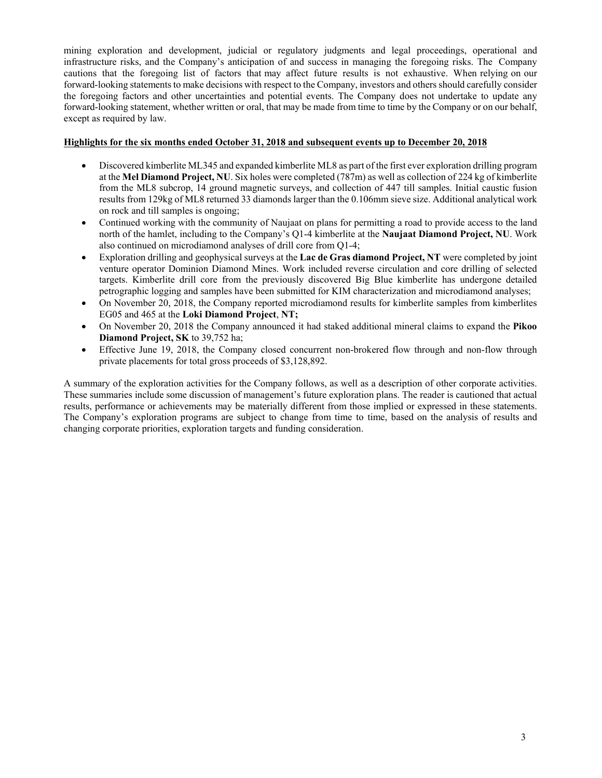mining exploration and development, judicial or regulatory judgments and legal proceedings, operational and infrastructure risks, and the Company's anticipation of and success in managing the foregoing risks. The Company cautions that the foregoing list of factors that may affect future results is not exhaustive. When relying on our forward-looking statements to make decisions with respect to the Company, investors and others should carefully consider the foregoing factors and other uncertainties and potential events. The Company does not undertake to update any forward-looking statement, whether written or oral, that may be made from time to time by the Company or on our behalf, except as required by law.

## **Highlights for the six months ended October 31, 2018 and subsequent events up to December 20, 2018**

- Discovered kimberlite ML345 and expanded kimberlite ML8 as part of the first ever exploration drilling program at the **Mel Diamond Project, NU**. Six holes were completed (787m) as well as collection of 224 kg of kimberlite from the ML8 subcrop, 14 ground magnetic surveys, and collection of 447 till samples. Initial caustic fusion results from 129kg of ML8 returned 33 diamonds larger than the 0.106mm sieve size. Additional analytical work on rock and till samples is ongoing;
- Continued working with the community of Naujaat on plans for permitting a road to provide access to the land north of the hamlet, including to the Company's Q1-4 kimberlite at the **Naujaat Diamond Project, NU**. Work also continued on microdiamond analyses of drill core from Q1-4;
- Exploration drilling and geophysical surveys at the **Lac de Gras diamond Project, NT** were completed by joint venture operator Dominion Diamond Mines. Work included reverse circulation and core drilling of selected targets. Kimberlite drill core from the previously discovered Big Blue kimberlite has undergone detailed petrographic logging and samples have been submitted for KIM characterization and microdiamond analyses;
- On November 20, 2018, the Company reported microdiamond results for kimberlite samples from kimberlites EG05 and 465 at the **Loki Diamond Project**, **NT;**
- On November 20, 2018 the Company announced it had staked additional mineral claims to expand the **Pikoo Diamond Project, SK** to 39,752 ha;
- Effective June 19, 2018, the Company closed concurrent non-brokered flow through and non-flow through private placements for total gross proceeds of \$3,128,892.

A summary of the exploration activities for the Company follows, as well as a description of other corporate activities. These summaries include some discussion of management's future exploration plans. The reader is cautioned that actual results, performance or achievements may be materially different from those implied or expressed in these statements. The Company's exploration programs are subject to change from time to time, based on the analysis of results and changing corporate priorities, exploration targets and funding consideration.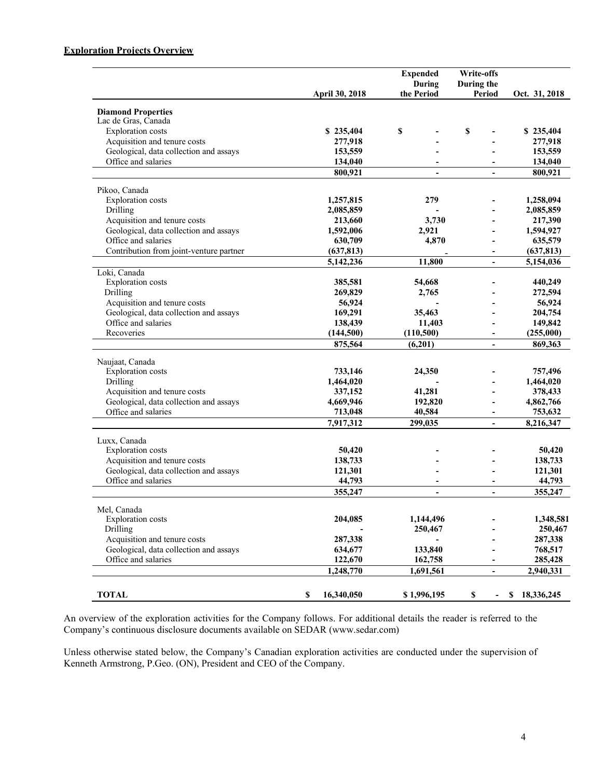# **Exploration Projects Overview**

|                                         |                       | <b>Expended</b><br>During | Write-offs<br>During the     |                  |
|-----------------------------------------|-----------------------|---------------------------|------------------------------|------------------|
|                                         | <b>April 30, 2018</b> | the Period                | <b>Period</b>                | Oct. 31, 2018    |
| <b>Diamond Properties</b>               |                       |                           |                              |                  |
| Lac de Gras, Canada                     |                       |                           |                              |                  |
| <b>Exploration</b> costs                | \$235,404             | \$                        | \$                           | \$235,404        |
| Acquisition and tenure costs            | 277,918               |                           |                              | 277,918          |
| Geological, data collection and assays  | 153,559               |                           |                              | 153,559          |
| Office and salaries                     | 134,040               |                           | $\blacksquare$               | 134,040          |
|                                         | 800,921               | $\overline{\phantom{a}}$  | $\qquad \qquad \blacksquare$ | 800,921          |
| Pikoo, Canada                           |                       |                           |                              |                  |
| <b>Exploration</b> costs                | 1,257,815             | 279                       |                              | 1,258,094        |
| Drilling                                | 2,085,859             |                           |                              | 2,085,859        |
| Acquisition and tenure costs            | 213,660               | 3,730                     |                              | 217,390          |
| Geological, data collection and assays  | 1,592,006             | 2,921                     |                              | 1,594,927        |
| Office and salaries                     | 630,709               | 4,870                     |                              | 635,579          |
| Contribution from joint-venture partner | (637, 813)            |                           |                              | (637, 813)       |
|                                         | 5,142,236             | 11,800                    | $\overline{\phantom{a}}$     | 5,154,036        |
| Loki, Canada                            |                       |                           |                              |                  |
| <b>Exploration</b> costs                | 385,581               | 54,668                    |                              | 440,249          |
| Drilling                                | 269,829               | 2,765                     |                              | 272,594          |
| Acquisition and tenure costs            | 56,924                |                           |                              | 56,924           |
| Geological, data collection and assays  | 169,291               | 35,463                    |                              | 204,754          |
| Office and salaries                     | 138,439               | 11,403                    |                              | 149,842          |
| Recoveries                              | (144, 500)            | (110, 500)                |                              | (255,000)        |
|                                         | 875,564               | (6,201)                   | $\overline{\phantom{a}}$     | 869,363          |
| Naujaat, Canada                         |                       |                           |                              |                  |
| Exploration costs                       | 733,146               | 24,350                    |                              | 757,496          |
| Drilling                                | 1,464,020             |                           |                              | 1,464,020        |
| Acquisition and tenure costs            | 337,152               | 41,281                    | $\overline{\phantom{0}}$     | 378,433          |
| Geological, data collection and assays  | 4,669,946             | 192,820                   |                              | 4,862,766        |
| Office and salaries                     | 713,048               | 40,584                    |                              | 753,632          |
|                                         | 7,917,312             | 299,035                   |                              | 8,216,347        |
| Luxx, Canada                            |                       |                           |                              |                  |
| <b>Exploration</b> costs                | 50,420                |                           |                              | 50,420           |
| Acquisition and tenure costs            | 138,733               |                           |                              | 138,733          |
| Geological, data collection and assays  | 121,301               |                           |                              | 121,301          |
| Office and salaries                     | 44,793                |                           |                              | 44,793           |
|                                         | 355,247               | $\overline{\phantom{a}}$  | $\overline{\phantom{a}}$     | 355,247          |
| Mel, Canada                             |                       |                           |                              |                  |
| <b>Exploration</b> costs                | 204,085               | 1,144,496                 |                              | 1,348,581        |
| Drilling                                |                       | 250,467                   |                              | 250,467          |
| Acquisition and tenure costs            | 287,338               |                           |                              | 287,338          |
| Geological, data collection and assays  | 634,677               | 133,840                   |                              | 768,517          |
| Office and salaries                     | 122,670               | 162,758                   |                              | 285,428          |
|                                         | 1,248,770             | 1,691,561                 | $\overline{\phantom{0}}$     | 2,940,331        |
|                                         |                       |                           |                              |                  |
| <b>TOTAL</b>                            | 16,340,050<br>\$      | \$1,996,195               | \$                           | 18,336,245<br>\$ |

An overview of the exploration activities for the Company follows. For additional details the reader is referred to the Company's continuous disclosure documents available on SEDAR (www.sedar.com)

Unless otherwise stated below, the Company's Canadian exploration activities are conducted under the supervision of Kenneth Armstrong, P.Geo. (ON), President and CEO of the Company.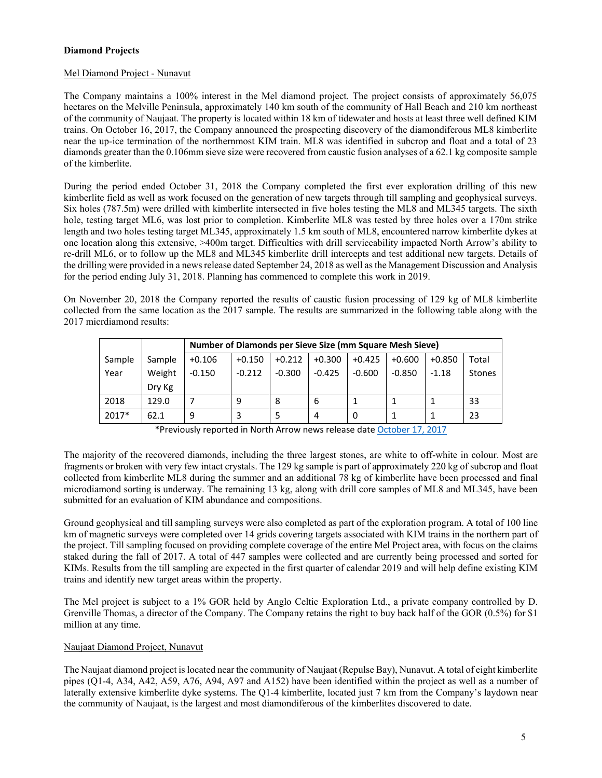# **Diamond Projects**

# Mel Diamond Project - Nunavut

The Company maintains a 100% interest in the Mel diamond project. The project consists of approximately 56,075 hectares on the Melville Peninsula, approximately 140 km south of the community of Hall Beach and 210 km northeast of the community of Naujaat. The property is located within 18 km of tidewater and hosts at least three well defined KIM trains. On October 16, 2017, the Company announced the prospecting discovery of the diamondiferous ML8 kimberlite near the up-ice termination of the northernmost KIM train. ML8 was identified in subcrop and float and a total of 23 diamonds greater than the 0.106mm sieve size were recovered from caustic fusion analyses of a 62.1 kg composite sample of the kimberlite.

During the period ended October 31, 2018 the Company completed the first ever exploration drilling of this new kimberlite field as well as work focused on the generation of new targets through till sampling and geophysical surveys. Six holes (787.5m) were drilled with kimberlite intersected in five holes testing the ML8 and ML345 targets. The sixth hole, testing target ML6, was lost prior to completion. Kimberlite ML8 was tested by three holes over a 170m strike length and two holes testing target ML345, approximately 1.5 km south of ML8, encountered narrow kimberlite dykes at one location along this extensive, >400m target. Difficulties with drill serviceability impacted North Arrow's ability to re-drill ML6, or to follow up the ML8 and ML345 kimberlite drill intercepts and test additional new targets. Details of the drilling were provided in a news release dated September 24, 2018 as well as the Management Discussion and Analysis for the period ending July 31, 2018. Planning has commenced to complete this work in 2019.

On November 20, 2018 the Company reported the results of caustic fusion processing of 129 kg of ML8 kimberlite collected from the same location as the 2017 sample. The results are summarized in the following table along with the 2017 micrdiamond results:

|        |        |          | Number of Diamonds per Sieve Size (mm Square Mesh Sieve) |          |          |          |          |          |        |
|--------|--------|----------|----------------------------------------------------------|----------|----------|----------|----------|----------|--------|
| Sample | Sample | $+0.106$ | $+0.150$                                                 | $+0.212$ | $+0.300$ | $+0.425$ | $+0.600$ | $+0.850$ | Total  |
| Year   | Weight | $-0.150$ | $-0.212$                                                 | $-0.300$ | $-0.425$ | $-0.600$ | $-0.850$ | $-1.18$  | Stones |
|        | Dry Kg |          |                                                          |          |          |          |          |          |        |
| 2018   | 129.0  |          | 9                                                        | 8        | 6        |          |          |          | 33     |
| 2017*  | 62.1   | 9        |                                                          |          | 4        | 0        |          |          | 23     |

\*Previously reported in North Arrow news release date October 17, 2017

The majority of the recovered diamonds, including the three largest stones, are white to off-white in colour. Most are fragments or broken with very few intact crystals. The 129 kg sample is part of approximately 220 kg of subcrop and float collected from kimberlite ML8 during the summer and an additional 78 kg of kimberlite have been processed and final microdiamond sorting is underway. The remaining 13 kg, along with drill core samples of ML8 and ML345, have been submitted for an evaluation of KIM abundance and compositions.

Ground geophysical and till sampling surveys were also completed as part of the exploration program. A total of 100 line km of magnetic surveys were completed over 14 grids covering targets associated with KIM trains in the northern part of the project. Till sampling focused on providing complete coverage of the entire Mel Project area, with focus on the claims staked during the fall of 2017. A total of 447 samples were collected and are currently being processed and sorted for KIMs. Results from the till sampling are expected in the first quarter of calendar 2019 and will help define existing KIM trains and identify new target areas within the property.

The Mel project is subject to a 1% GOR held by Anglo Celtic Exploration Ltd., a private company controlled by D. Grenville Thomas, a director of the Company. The Company retains the right to buy back half of the GOR (0.5%) for \$1 million at any time.

# Naujaat Diamond Project, Nunavut

The Naujaat diamond project is located near the community of Naujaat (Repulse Bay), Nunavut. A total of eight kimberlite pipes (Q1-4, A34, A42, A59, A76, A94, A97 and A152) have been identified within the project as well as a number of laterally extensive kimberlite dyke systems. The Q1-4 kimberlite, located just 7 km from the Company's laydown near the community of Naujaat, is the largest and most diamondiferous of the kimberlites discovered to date.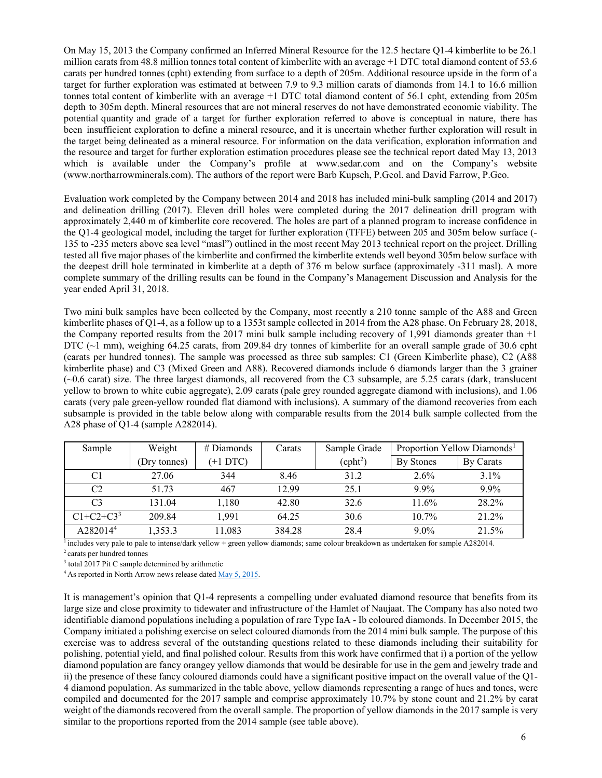On May 15, 2013 the Company confirmed an Inferred Mineral Resource for the 12.5 hectare Q1-4 kimberlite to be 26.1 million carats from 48.8 million tonnes total content of kimberlite with an average +1 DTC total diamond content of 53.6 carats per hundred tonnes (cpht) extending from surface to a depth of 205m. Additional resource upside in the form of a target for further exploration was estimated at between 7.9 to 9.3 million carats of diamonds from 14.1 to 16.6 million tonnes total content of kimberlite with an average +1 DTC total diamond content of 56.1 cpht, extending from 205m depth to 305m depth. Mineral resources that are not mineral reserves do not have demonstrated economic viability. The potential quantity and grade of a target for further exploration referred to above is conceptual in nature, there has been insufficient exploration to define a mineral resource, and it is uncertain whether further exploration will result in the target being delineated as a mineral resource. For information on the data verification, exploration information and the resource and target for further exploration estimation procedures please see the technical report dated May 13, 2013 which is available under the Company's profile at www.sedar.com and on the Company's website (www.northarrowminerals.com). The authors of the report were Barb Kupsch, P.Geol. and David Farrow, P.Geo.

Evaluation work completed by the Company between 2014 and 2018 has included mini-bulk sampling (2014 and 2017) and delineation drilling (2017). Eleven drill holes were completed during the 2017 delineation drill program with approximately 2,440 m of kimberlite core recovered. The holes are part of a planned program to increase confidence in the Q1-4 geological model, including the target for further exploration (TFFE) between 205 and 305m below surface (- 135 to -235 meters above sea level "masl") outlined in the most recent May 2013 technical report on the project. Drilling tested all five major phases of the kimberlite and confirmed the kimberlite extends well beyond 305m below surface with the deepest drill hole terminated in kimberlite at a depth of 376 m below surface (approximately -311 masl). A more complete summary of the drilling results can be found in the Company's Management Discussion and Analysis for the year ended April 31, 2018.

Two mini bulk samples have been collected by the Company, most recently a 210 tonne sample of the A88 and Green kimberlite phases of Q1-4, as a follow up to a 1353t sample collected in 2014 from the A28 phase. On February 28, 2018, the Company reported results from the 2017 mini bulk sample including recovery of 1,991 diamonds greater than +1 DTC (~1 mm), weighing 64.25 carats, from 209.84 dry tonnes of kimberlite for an overall sample grade of 30.6 cpht (carats per hundred tonnes). The sample was processed as three sub samples: C1 (Green Kimberlite phase), C2 (A88 kimberlite phase) and C3 (Mixed Green and A88). Recovered diamonds include 6 diamonds larger than the 3 grainer (~0.6 carat) size. The three largest diamonds, all recovered from the C3 subsample, are 5.25 carats (dark, translucent yellow to brown to white cubic aggregate), 2.09 carats (pale grey rounded aggregate diamond with inclusions), and 1.06 carats (very pale green-yellow rounded flat diamond with inclusions). A summary of the diamond recoveries from each subsample is provided in the table below along with comparable results from the 2014 bulk sample collected from the A28 phase of Q1-4 (sample A282014).

| Sample               | Weight       | $#$ Diamonds | Carats | Sample Grade        |           | Proportion Yellow Diamonds <sup>1</sup> |
|----------------------|--------------|--------------|--------|---------------------|-----------|-----------------------------------------|
|                      | (Dry tonnes) | (+1 DTC)     |        | (cph <sup>2</sup> ) | By Stones | By Carats                               |
| C1                   | 27.06        | 344          | 8.46   | 31.2                | $2.6\%$   | $3.1\%$                                 |
| C <sub>2</sub>       | 51.73        | 467          | 12.99  | 25.1                | $9.9\%$   | $9.9\%$                                 |
| C <sub>3</sub>       | 131.04       | 1.180        | 42.80  | 32.6                | 11.6%     | 28.2%                                   |
| $C1 + C2 + C3^3$     | 209.84       | 1.991        | 64.25  | 30.6                | $10.7\%$  | 21.2%                                   |
| A282014 <sup>4</sup> | 1,353.3      | 11,083       | 384.28 | 28.4                | $9.0\%$   | 21.5%                                   |

<sup>1</sup> includes very pale to pale to intense/dark yellow + green yellow diamonds; same colour breakdown as undertaken for sample A282014.<br><sup>2</sup> carats per hundred tonnes

<sup>3</sup> total 2017 Pit C sample determined by arithmetic

<sup>4</sup> As reported in North Arrow news release dated May 5, 2015.

It is management's opinion that Q1-4 represents a compelling under evaluated diamond resource that benefits from its large size and close proximity to tidewater and infrastructure of the Hamlet of Naujaat. The Company has also noted two identifiable diamond populations including a population of rare Type IaA - Ib coloured diamonds. In December 2015, the Company initiated a polishing exercise on select coloured diamonds from the 2014 mini bulk sample. The purpose of this exercise was to address several of the outstanding questions related to these diamonds including their suitability for polishing, potential yield, and final polished colour. Results from this work have confirmed that i) a portion of the yellow diamond population are fancy orangey yellow diamonds that would be desirable for use in the gem and jewelry trade and ii) the presence of these fancy coloured diamonds could have a significant positive impact on the overall value of the Q1- 4 diamond population. As summarized in the table above, yellow diamonds representing a range of hues and tones, were compiled and documented for the 2017 sample and comprise approximately 10.7% by stone count and 21.2% by carat weight of the diamonds recovered from the overall sample. The proportion of yellow diamonds in the 2017 sample is very similar to the proportions reported from the 2014 sample (see table above).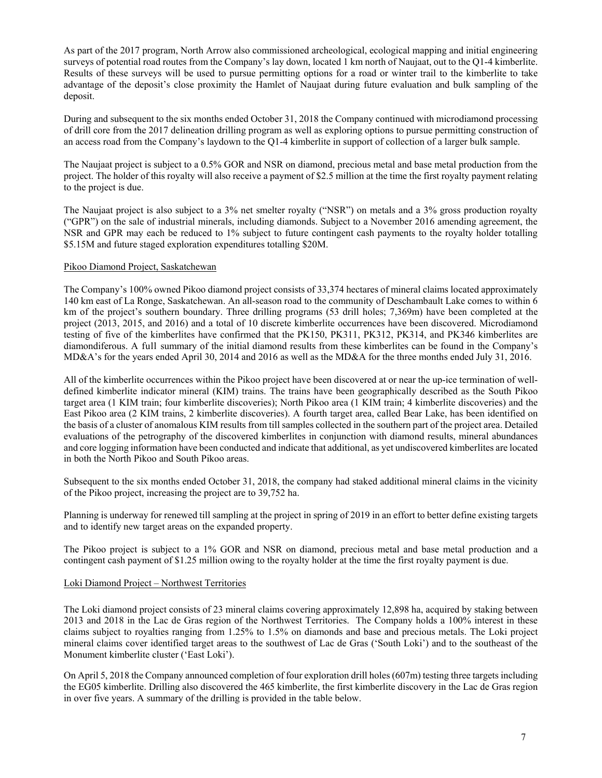As part of the 2017 program, North Arrow also commissioned archeological, ecological mapping and initial engineering surveys of potential road routes from the Company's lay down, located 1 km north of Naujaat, out to the Q1-4 kimberlite. Results of these surveys will be used to pursue permitting options for a road or winter trail to the kimberlite to take advantage of the deposit's close proximity the Hamlet of Naujaat during future evaluation and bulk sampling of the deposit.

During and subsequent to the six months ended October 31, 2018 the Company continued with microdiamond processing of drill core from the 2017 delineation drilling program as well as exploring options to pursue permitting construction of an access road from the Company's laydown to the Q1-4 kimberlite in support of collection of a larger bulk sample.

The Naujaat project is subject to a 0.5% GOR and NSR on diamond, precious metal and base metal production from the project. The holder of this royalty will also receive a payment of \$2.5 million at the time the first royalty payment relating to the project is due.

The Naujaat project is also subject to a 3% net smelter royalty ("NSR") on metals and a 3% gross production royalty ("GPR") on the sale of industrial minerals, including diamonds. Subject to a November 2016 amending agreement, the NSR and GPR may each be reduced to 1% subject to future contingent cash payments to the royalty holder totalling \$5.15M and future staged exploration expenditures totalling \$20M.

## Pikoo Diamond Project, Saskatchewan

The Company's 100% owned Pikoo diamond project consists of 33,374 hectares of mineral claims located approximately 140 km east of La Ronge, Saskatchewan. An all-season road to the community of Deschambault Lake comes to within 6 km of the project's southern boundary. Three drilling programs (53 drill holes; 7,369m) have been completed at the project (2013, 2015, and 2016) and a total of 10 discrete kimberlite occurrences have been discovered. Microdiamond testing of five of the kimberlites have confirmed that the PK150, PK311, PK312, PK314, and PK346 kimberlites are diamondiferous. A full summary of the initial diamond results from these kimberlites can be found in the Company's MD&A's for the years ended April 30, 2014 and 2016 as well as the MD&A for the three months ended July 31, 2016.

All of the kimberlite occurrences within the Pikoo project have been discovered at or near the up-ice termination of welldefined kimberlite indicator mineral (KIM) trains. The trains have been geographically described as the South Pikoo target area (1 KIM train; four kimberlite discoveries); North Pikoo area (1 KIM train; 4 kimberlite discoveries) and the East Pikoo area (2 KIM trains, 2 kimberlite discoveries). A fourth target area, called Bear Lake, has been identified on the basis of a cluster of anomalous KIM results from till samples collected in the southern part of the project area. Detailed evaluations of the petrography of the discovered kimberlites in conjunction with diamond results, mineral abundances and core logging information have been conducted and indicate that additional, as yet undiscovered kimberlites are located in both the North Pikoo and South Pikoo areas.

Subsequent to the six months ended October 31, 2018, the company had staked additional mineral claims in the vicinity of the Pikoo project, increasing the project are to 39,752 ha.

Planning is underway for renewed till sampling at the project in spring of 2019 in an effort to better define existing targets and to identify new target areas on the expanded property.

The Pikoo project is subject to a 1% GOR and NSR on diamond, precious metal and base metal production and a contingent cash payment of \$1.25 million owing to the royalty holder at the time the first royalty payment is due.

# Loki Diamond Project – Northwest Territories

The Loki diamond project consists of 23 mineral claims covering approximately 12,898 ha, acquired by staking between 2013 and 2018 in the Lac de Gras region of the Northwest Territories. The Company holds a 100% interest in these claims subject to royalties ranging from 1.25% to 1.5% on diamonds and base and precious metals. The Loki project mineral claims cover identified target areas to the southwest of Lac de Gras ('South Loki') and to the southeast of the Monument kimberlite cluster ('East Loki').

On April 5, 2018 the Company announced completion of four exploration drill holes (607m) testing three targets including the EG05 kimberlite. Drilling also discovered the 465 kimberlite, the first kimberlite discovery in the Lac de Gras region in over five years. A summary of the drilling is provided in the table below.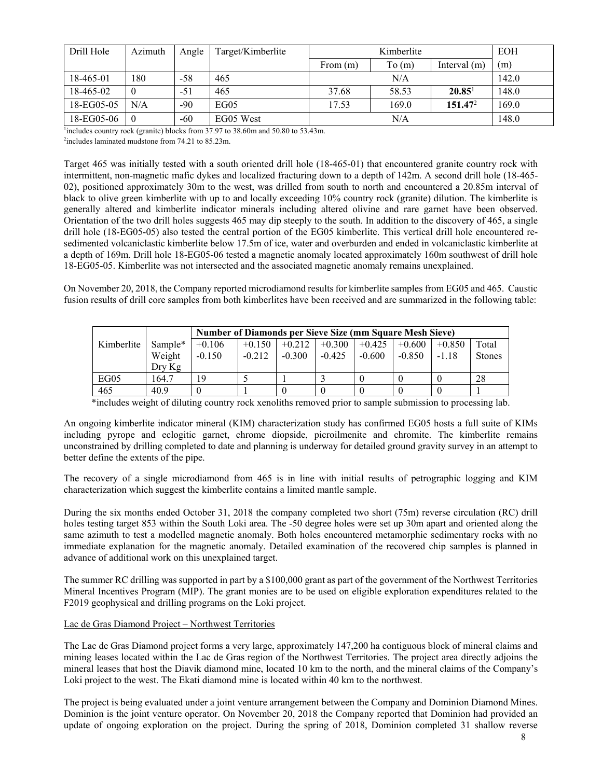| Azimuth  | Angle | Target/Kimberlite | Kimberlite |       |                     | <b>EOH</b> |
|----------|-------|-------------------|------------|-------|---------------------|------------|
|          |       |                   | From $(m)$ | To(m) | Interval $(m)$      | (m)        |
| 180      | $-58$ | 465               |            | N/A   |                     | 142.0      |
| $\theta$ | $-51$ | 465               | 37.68      | 58.53 | $20.85^{\circ}$     | 148.0      |
| N/A      | $-90$ | EGO5              | 17.53      | 169.0 | 151.47 <sup>2</sup> | 169.0      |
| $\theta$ | $-60$ | EG05 West         |            | N/A   |                     | 148.0      |
|          |       |                   |            |       |                     |            |

 $\frac{1}{1}$  includes country rock (granite) blocks from 37.97 to 38.60m and 50.80 to 53.43m.

 $\frac{1}{2}$ includes laminated mudstone from 74.21 to 85.23m.

Target 465 was initially tested with a south oriented drill hole (18-465-01) that encountered granite country rock with intermittent, non-magnetic mafic dykes and localized fracturing down to a depth of 142m. A second drill hole (18-465- 02), positioned approximately 30m to the west, was drilled from south to north and encountered a 20.85m interval of black to olive green kimberlite with up to and locally exceeding 10% country rock (granite) dilution. The kimberlite is generally altered and kimberlite indicator minerals including altered olivine and rare garnet have been observed. Orientation of the two drill holes suggests 465 may dip steeply to the south. In addition to the discovery of 465, a single drill hole (18-EG05-05) also tested the central portion of the EG05 kimberlite. This vertical drill hole encountered resedimented volcaniclastic kimberlite below 17.5m of ice, water and overburden and ended in volcaniclastic kimberlite at a depth of 169m. Drill hole 18-EG05-06 tested a magnetic anomaly located approximately 160m southwest of drill hole 18-EG05-05. Kimberlite was not intersected and the associated magnetic anomaly remains unexplained.

On November 20, 2018, the Company reported microdiamond results for kimberlite samples from EG05 and 465. Caustic fusion results of drill core samples from both kimberlites have been received and are summarized in the following table:

|            |          |          | <b>Number of Diamonds per Sieve Size (mm Square Mesh Sieve)</b> |          |          |          |          |          |               |
|------------|----------|----------|-----------------------------------------------------------------|----------|----------|----------|----------|----------|---------------|
| Kimberlite | Sample*  | $+0.106$ | $+0.150$                                                        | $+0.212$ | $+0.300$ | $+0.425$ | $+0.600$ | $+0.850$ | Total         |
|            | Weight   | $-0.150$ | $-0.212$                                                        | $-0.300$ | $-0.425$ | $-0.600$ | $-0.850$ | $-1.18$  | <b>Stones</b> |
|            | $Drv$ Kg |          |                                                                 |          |          |          |          |          |               |
| EG05       | 164.7    | 19       |                                                                 |          |          |          |          |          | 28            |
| 465        | 40.9     |          |                                                                 |          |          |          |          |          |               |

\*includes weight of diluting country rock xenoliths removed prior to sample submission to processing lab.

An ongoing kimberlite indicator mineral (KIM) characterization study has confirmed EG05 hosts a full suite of KIMs including pyrope and eclogitic garnet, chrome diopside, picroilmenite and chromite. The kimberlite remains unconstrained by drilling completed to date and planning is underway for detailed ground gravity survey in an attempt to better define the extents of the pipe.

The recovery of a single microdiamond from 465 is in line with initial results of petrographic logging and KIM characterization which suggest the kimberlite contains a limited mantle sample.

During the six months ended October 31, 2018 the company completed two short (75m) reverse circulation (RC) drill holes testing target 853 within the South Loki area. The -50 degree holes were set up 30m apart and oriented along the same azimuth to test a modelled magnetic anomaly. Both holes encountered metamorphic sedimentary rocks with no immediate explanation for the magnetic anomaly. Detailed examination of the recovered chip samples is planned in advance of additional work on this unexplained target.

The summer RC drilling was supported in part by a \$100,000 grant as part of the government of the Northwest Territories Mineral Incentives Program (MIP). The grant monies are to be used on eligible exploration expenditures related to the F2019 geophysical and drilling programs on the Loki project.

# Lac de Gras Diamond Project – Northwest Territories

The Lac de Gras Diamond project forms a very large, approximately 147,200 ha contiguous block of mineral claims and mining leases located within the Lac de Gras region of the Northwest Territories. The project area directly adjoins the mineral leases that host the Diavik diamond mine, located 10 km to the north, and the mineral claims of the Company's Loki project to the west. The Ekati diamond mine is located within 40 km to the northwest.

The project is being evaluated under a joint venture arrangement between the Company and Dominion Diamond Mines. Dominion is the joint venture operator. On November 20, 2018 the Company reported that Dominion had provided an update of ongoing exploration on the project. During the spring of 2018, Dominion completed 31 shallow reverse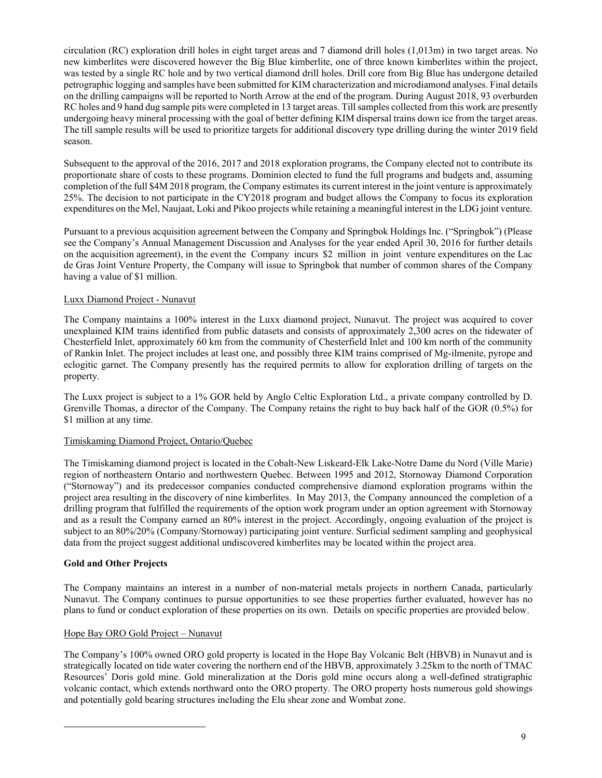circulation (RC) exploration drill holes in eight target areas and 7 diamond drill holes (1,013m) in two target areas. No new kimberlites were discovered however the Big Blue kimberlite, one of three known kimberlites within the project, was tested by a single RC hole and by two vertical diamond drill holes. Drill core from Big Blue has undergone detailed petrographic logging and samples have been submitted for KIM characterization and microdiamond analyses. Final details on the drilling campaigns will be reported to North Arrow at the end of the program. During August 2018, 93 overburden RC holes and 9 hand dug sample pits were completed in 13 target areas. Till samples collected from this work are presently undergoing heavy mineral processing with the goal of better defining KIM dispersal trains down ice from the target areas. The till sample results will be used to prioritize targets for additional discovery type drilling during the winter 2019 field season.

Subsequent to the approval of the 2016, 2017 and 2018 exploration programs, the Company elected not to contribute its proportionate share of costs to these programs. Dominion elected to fund the full programs and budgets and, assuming completion of the full \$4M 2018 program, the Company estimates its current interest in the joint venture is approximately 25%. The decision to not participate in the CY2018 program and budget allows the Company to focus its exploration expenditures on the Mel, Naujaat, Loki and Pikoo projects while retaining a meaningful interest in the LDG joint venture.

Pursuant to a previous acquisition agreement between the Company and Springbok Holdings Inc. ("Springbok") (Please see the Company's Annual Management Discussion and Analyses for the year ended April 30, 2016 for further details on the acquisition agreement), in the event the Company incurs \$2 million in joint venture expenditures on the Lac de Gras Joint Venture Property, the Company will issue to Springbok that number of common shares of the Company having a value of \$1 million.

# Luxx Diamond Project - Nunavut

The Company maintains a 100% interest in the Luxx diamond project, Nunavut. The project was acquired to cover unexplained KIM trains identified from public datasets and consists of approximately 2,300 acres on the tidewater of Chesterfield Inlet, approximately 60 km from the community of Chesterfield Inlet and 100 km north of the community of Rankin Inlet. The project includes at least one, and possibly three KIM trains comprised of Mg-ilmenite, pyrope and eclogitic garnet. The Company presently has the required permits to allow for exploration drilling of targets on the property.

The Luxx project is subject to a 1% GOR held by Anglo Celtic Exploration Ltd., a private company controlled by D. Grenville Thomas, a director of the Company. The Company retains the right to buy back half of the GOR (0.5%) for \$1 million at any time.

# Timiskaming Diamond Project, Ontario/Quebec

The Timiskaming diamond project is located in the Cobalt-New Liskeard-Elk Lake-Notre Dame du Nord (Ville Marie) region of northeastern Ontario and northwestern Quebec. Between 1995 and 2012, Stornoway Diamond Corporation ("Stornoway") and its predecessor companies conducted comprehensive diamond exploration programs within the project area resulting in the discovery of nine kimberlites. In May 2013, the Company announced the completion of a drilling program that fulfilled the requirements of the option work program under an option agreement with Stornoway and as a result the Company earned an 80% interest in the project. Accordingly, ongoing evaluation of the project is subject to an 80%/20% (Company/Stornoway) participating joint venture. Surficial sediment sampling and geophysical data from the project suggest additional undiscovered kimberlites may be located within the project area.

# **Gold and Other Projects**

l

The Company maintains an interest in a number of non-material metals projects in northern Canada, particularly Nunavut. The Company continues to pursue opportunities to see these properties further evaluated, however has no plans to fund or conduct exploration of these properties on its own. Details on specific properties are provided below.

# Hope Bay ORO Gold Project – Nunavut

The Company's 100% owned ORO gold property is located in the Hope Bay Volcanic Belt (HBVB) in Nunavut and is strategically located on tide water covering the northern end of the HBVB, approximately 3.25km to the north of TMAC Resources' Doris gold mine. Gold mineralization at the Doris gold mine occurs along a well-defined stratigraphic volcanic contact, which extends northward onto the ORO property. The ORO property hosts numerous gold showings and potentially gold bearing structures including the Elu shear zone and Wombat zone.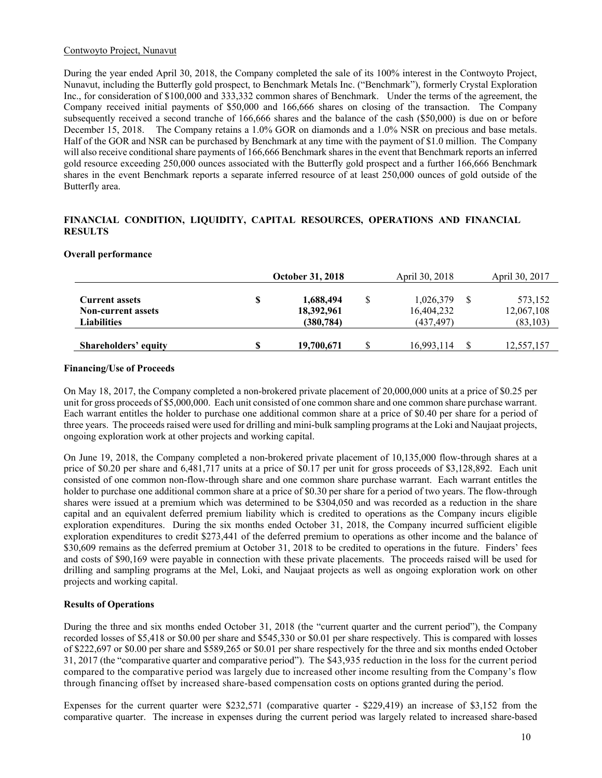## Contwoyto Project, Nunavut

During the year ended April 30, 2018, the Company completed the sale of its 100% interest in the Contwoyto Project, Nunavut, including the Butterfly gold prospect, to Benchmark Metals Inc. ("Benchmark"), formerly Crystal Exploration Inc., for consideration of \$100,000 and 333,332 common shares of Benchmark. Under the terms of the agreement, the Company received initial payments of \$50,000 and 166,666 shares on closing of the transaction. The Company subsequently received a second tranche of 166,666 shares and the balance of the cash (\$50,000) is due on or before December 15, 2018. The Company retains a 1.0% GOR on diamonds and a 1.0% NSR on precious and base metals. Half of the GOR and NSR can be purchased by Benchmark at any time with the payment of \$1.0 million. The Company will also receive conditional share payments of 166,666 Benchmark shares in the event that Benchmark reports an inferred gold resource exceeding 250,000 ounces associated with the Butterfly gold prospect and a further 166,666 Benchmark shares in the event Benchmark reports a separate inferred resource of at least 250,000 ounces of gold outside of the Butterfly area.

## **FINANCIAL CONDITION, LIQUIDITY, CAPITAL RESOURCES, OPERATIONS AND FINANCIAL RESULTS**

## **Overall performance**

|                                                                          |   | <b>October 31, 2018</b>               |   | April 30, 2018                       | April 30, 2017                     |
|--------------------------------------------------------------------------|---|---------------------------------------|---|--------------------------------------|------------------------------------|
| <b>Current assets</b><br><b>Non-current assets</b><br><b>Liabilities</b> | S | 1,688,494<br>18,392,961<br>(380, 784) |   | 1,026,379<br>16,404,232<br>(437,497) | 573,152<br>12,067,108<br>(83, 103) |
| Shareholders' equity                                                     | S | 19,700,671                            | S | 16,993,114                           | 12,557,157                         |

## **Financing/Use of Proceeds**

On May 18, 2017, the Company completed a non-brokered private placement of 20,000,000 units at a price of \$0.25 per unit for gross proceeds of \$5,000,000. Each unit consisted of one common share and one common share purchase warrant. Each warrant entitles the holder to purchase one additional common share at a price of \$0.40 per share for a period of three years. The proceeds raised were used for drilling and mini-bulk sampling programs at the Loki and Naujaat projects, ongoing exploration work at other projects and working capital.

On June 19, 2018, the Company completed a non-brokered private placement of 10,135,000 flow-through shares at a price of \$0.20 per share and 6,481,717 units at a price of \$0.17 per unit for gross proceeds of \$3,128,892. Each unit consisted of one common non-flow-through share and one common share purchase warrant. Each warrant entitles the holder to purchase one additional common share at a price of \$0.30 per share for a period of two years. The flow-through shares were issued at a premium which was determined to be \$304,050 and was recorded as a reduction in the share capital and an equivalent deferred premium liability which is credited to operations as the Company incurs eligible exploration expenditures. During the six months ended October 31, 2018, the Company incurred sufficient eligible exploration expenditures to credit \$273,441 of the deferred premium to operations as other income and the balance of \$30,609 remains as the deferred premium at October 31, 2018 to be credited to operations in the future. Finders' fees and costs of \$90,169 were payable in connection with these private placements. The proceeds raised will be used for drilling and sampling programs at the Mel, Loki, and Naujaat projects as well as ongoing exploration work on other projects and working capital.

# **Results of Operations**

During the three and six months ended October 31, 2018 (the "current quarter and the current period"), the Company recorded losses of \$5,418 or \$0.00 per share and \$545,330 or \$0.01 per share respectively. This is compared with losses of \$222,697 or \$0.00 per share and \$589,265 or \$0.01 per share respectively for the three and six months ended October 31, 2017 (the "comparative quarter and comparative period"). The \$43,935 reduction in the loss for the current period compared to the comparative period was largely due to increased other income resulting from the Company's flow through financing offset by increased share-based compensation costs on options granted during the period.

Expenses for the current quarter were \$232,571 (comparative quarter - \$229,419) an increase of \$3,152 from the comparative quarter. The increase in expenses during the current period was largely related to increased share-based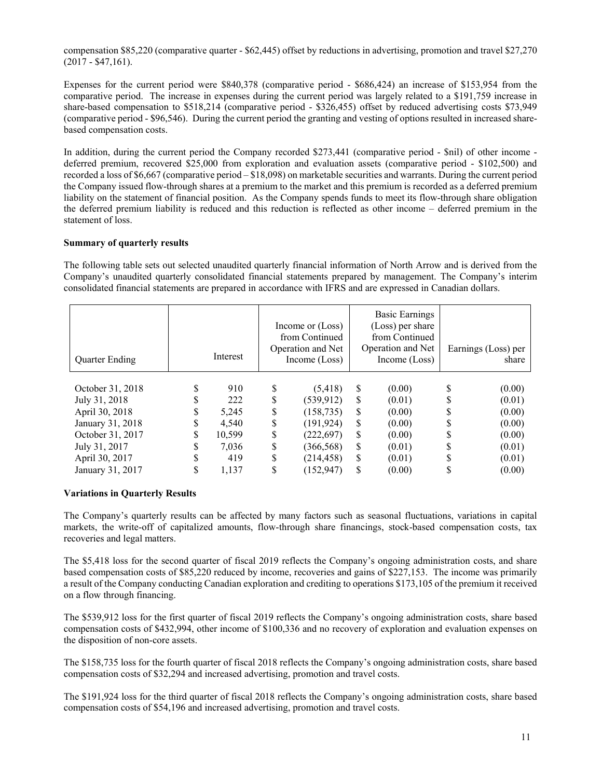compensation \$85,220 (comparative quarter - \$62,445) offset by reductions in advertising, promotion and travel \$27,270  $(2017 - $47,161)$ .

Expenses for the current period were \$840,378 (comparative period - \$686,424) an increase of \$153,954 from the comparative period. The increase in expenses during the current period was largely related to a \$191,759 increase in share-based compensation to \$518,214 (comparative period - \$326,455) offset by reduced advertising costs \$73,949 (comparative period - \$96,546). During the current period the granting and vesting of options resulted in increased sharebased compensation costs.

In addition, during the current period the Company recorded \$273,441 (comparative period - \$nil) of other income deferred premium, recovered \$25,000 from exploration and evaluation assets (comparative period - \$102,500) and recorded a loss of \$6,667 (comparative period – \$18,098) on marketable securities and warrants. During the current period the Company issued flow-through shares at a premium to the market and this premium is recorded as a deferred premium liability on the statement of financial position. As the Company spends funds to meet its flow-through share obligation the deferred premium liability is reduced and this reduction is reflected as other income – deferred premium in the statement of loss.

## **Summary of quarterly results**

The following table sets out selected unaudited quarterly financial information of North Arrow and is derived from the Company's unaudited quarterly consolidated financial statements prepared by management. The Company's interim consolidated financial statements are prepared in accordance with IFRS and are expressed in Canadian dollars.

| <b>Quarter Ending</b> |    | Interest |    | Income or (Loss)<br>from Continued<br>Operation and Net<br>Income (Loss) |     | Basic Earnings<br>(Loss) per share<br>from Continued<br>Operation and Net<br>Income $(Loss)$ |   | Earnings (Loss) per<br>share |
|-----------------------|----|----------|----|--------------------------------------------------------------------------|-----|----------------------------------------------------------------------------------------------|---|------------------------------|
| October 31, 2018      | \$ | 910      | S  | (5,418)                                                                  | \$  | (0.00)                                                                                       | S | (0.00)                       |
| July 31, 2018         | S  | 222      | \$ | (539, 912)                                                               | \$. | (0.01)                                                                                       |   | (0.01)                       |
| April 30, 2018        | \$ | 5,245    | \$ | (158, 735)                                                               | \$  | (0.00)                                                                                       |   | (0.00)                       |
| January 31, 2018      | \$ | 4.540    | \$ | (191, 924)                                                               | \$. | (0.00)                                                                                       |   | (0.00)                       |
| October 31, 2017      | \$ | 10,599   | \$ | (222, 697)                                                               | S   | (0.00)                                                                                       |   | (0.00)                       |
| July 31, 2017         | S  | 7.036    | S  | (366, 568)                                                               | \$. | (0.01)                                                                                       |   | (0.01)                       |
| April 30, 2017        | \$ | 419      | \$ | (214, 458)                                                               | S   | (0.01)                                                                                       |   | (0.01)                       |
| January 31, 2017      |    | 1,137    |    | (152, 947)                                                               |     | (0.00)                                                                                       |   | (0.00)                       |

## **Variations in Quarterly Results**

The Company's quarterly results can be affected by many factors such as seasonal fluctuations, variations in capital markets, the write-off of capitalized amounts, flow-through share financings, stock-based compensation costs, tax recoveries and legal matters.

The \$5,418 loss for the second quarter of fiscal 2019 reflects the Company's ongoing administration costs, and share based compensation costs of \$85,220 reduced by income, recoveries and gains of \$227,153. The income was primarily a result of the Company conducting Canadian exploration and crediting to operations \$173,105 of the premium it received on a flow through financing.

The \$539,912 loss for the first quarter of fiscal 2019 reflects the Company's ongoing administration costs, share based compensation costs of \$432,994, other income of \$100,336 and no recovery of exploration and evaluation expenses on the disposition of non-core assets.

The \$158,735 loss for the fourth quarter of fiscal 2018 reflects the Company's ongoing administration costs, share based compensation costs of \$32,294 and increased advertising, promotion and travel costs.

The \$191,924 loss for the third quarter of fiscal 2018 reflects the Company's ongoing administration costs, share based compensation costs of \$54,196 and increased advertising, promotion and travel costs.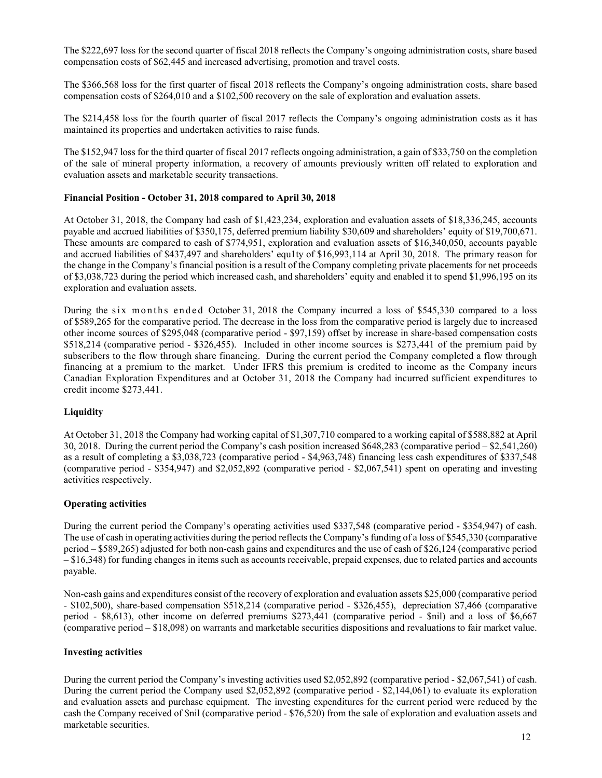The \$222,697 loss for the second quarter of fiscal 2018 reflects the Company's ongoing administration costs, share based compensation costs of \$62,445 and increased advertising, promotion and travel costs.

The \$366,568 loss for the first quarter of fiscal 2018 reflects the Company's ongoing administration costs, share based compensation costs of \$264,010 and a \$102,500 recovery on the sale of exploration and evaluation assets.

The \$214,458 loss for the fourth quarter of fiscal 2017 reflects the Company's ongoing administration costs as it has maintained its properties and undertaken activities to raise funds.

The \$152,947 loss for the third quarter of fiscal 2017 reflects ongoing administration, a gain of \$33,750 on the completion of the sale of mineral property information, a recovery of amounts previously written off related to exploration and evaluation assets and marketable security transactions.

# **Financial Position - October 31, 2018 compared to April 30, 2018**

At October 31, 2018, the Company had cash of \$1,423,234, exploration and evaluation assets of \$18,336,245, accounts payable and accrued liabilities of \$350,175, deferred premium liability \$30,609 and shareholders' equity of \$19,700,671. These amounts are compared to cash of \$774,951, exploration and evaluation assets of \$16,340,050, accounts payable and accrued liabilities of \$437,497 and shareholders' equ1ty of \$16,993,114 at April 30, 2018. The primary reason for the change in the Company's financial position is a result of the Company completing private placements for net proceeds of \$3,038,723 during the period which increased cash, and shareholders' equity and enabled it to spend \$1,996,195 on its exploration and evaluation assets.

During the six months ended October 31, 2018 the Company incurred a loss of \$545,330 compared to a loss of \$589,265 for the comparative period. The decrease in the loss from the comparative period is largely due to increased other income sources of \$295,048 (comparative period - \$97,159) offset by increase in share-based compensation costs \$518,214 (comparative period - \$326,455). Included in other income sources is \$273,441 of the premium paid by subscribers to the flow through share financing. During the current period the Company completed a flow through financing at a premium to the market. Under IFRS this premium is credited to income as the Company incurs Canadian Exploration Expenditures and at October 31, 2018 the Company had incurred sufficient expenditures to credit income \$273,441.

# **Liquidity**

At October 31, 2018 the Company had working capital of \$1,307,710 compared to a working capital of \$588,882 at April 30, 2018. During the current period the Company's cash position increased \$648,283 (comparative period – \$2,541,260) as a result of completing a \$3,038,723 (comparative period - \$4,963,748) financing less cash expenditures of \$337,548 (comparative period - \$354,947) and \$2,052,892 (comparative period - \$2,067,541) spent on operating and investing activities respectively.

## **Operating activities**

During the current period the Company's operating activities used \$337,548 (comparative period - \$354,947) of cash. The use of cash in operating activities during the period reflects the Company's funding of a loss of \$545,330 (comparative period – \$589,265) adjusted for both non-cash gains and expenditures and the use of cash of \$26,124 (comparative period – \$16,348) for funding changes in items such as accounts receivable, prepaid expenses, due to related parties and accounts payable.

Non-cash gains and expenditures consist of the recovery of exploration and evaluation assets \$25,000 (comparative period - \$102,500), share-based compensation \$518,214 (comparative period - \$326,455), depreciation \$7,466 (comparative period - \$8,613), other income on deferred premiums \$273,441 (comparative period - \$nil) and a loss of \$6,667 (comparative period – \$18,098) on warrants and marketable securities dispositions and revaluations to fair market value.

## **Investing activities**

During the current period the Company's investing activities used \$2,052,892 (comparative period - \$2,067,541) of cash. During the current period the Company used \$2,052,892 (comparative period - \$2,144,061) to evaluate its exploration and evaluation assets and purchase equipment. The investing expenditures for the current period were reduced by the cash the Company received of \$nil (comparative period - \$76,520) from the sale of exploration and evaluation assets and marketable securities.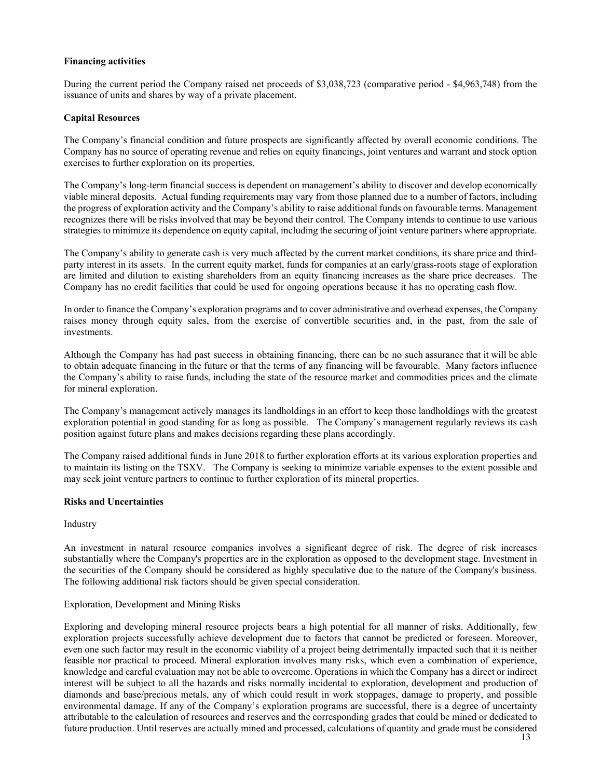# **Financing activities**

During the current period the Company raised net proceeds of \$3,038,723 (comparative period - \$4,963,748) from the issuance of units and shares by way of a private placement.

## **Capital Resources**

The Company's financial condition and future prospects are significantly affected by overall economic conditions. The Company has no source of operating revenue and relies on equity financings, joint ventures and warrant and stock option exercises to further exploration on its properties.

The Company's long-term financial success is dependent on management's ability to discover and develop economically viable mineral deposits. Actual funding requirements may vary from those planned due to a number of factors, including the progress of exploration activity and the Company's ability to raise additional funds on favourable terms. Management recognizes there will be risks involved that may be beyond their control. The Company intends to continue to use various strategies to minimize its dependence on equity capital, including the securing of joint venture partners where appropriate.

The Company's ability to generate cash is very much affected by the current market conditions, its share price and thirdparty interest in its assets. In the current equity market, funds for companies at an early/grass-roots stage of exploration are limited and dilution to existing shareholders from an equity financing increases as the share price decreases. The Company has no credit facilities that could be used for ongoing operations because it has no operating cash flow.

In order to finance the Company's exploration programs and to cover administrative and overhead expenses, the Company raises money through equity sales, from the exercise of convertible securities and, in the past, from the sale of investments.

Although the Company has had past success in obtaining financing, there can be no such assurance that it will be able to obtain adequate financing in the future or that the terms of any financing will be favourable. Many factors influence the Company's ability to raise funds, including the state of the resource market and commodities prices and the climate for mineral exploration.

The Company's management actively manages its landholdings in an effort to keep those landholdings with the greatest exploration potential in good standing for as long as possible. The Company's management regularly reviews its cash position against future plans and makes decisions regarding these plans accordingly.

The Company raised additional funds in June 2018 to further exploration efforts at its various exploration properties and to maintain its listing on the TSXV. The Company is seeking to minimize variable expenses to the extent possible and may seek joint venture partners to continue to further exploration of its mineral properties.

## **Risks and Uncertainties**

Industry

An investment in natural resource companies involves a significant degree of risk. The degree of risk increases substantially where the Company's properties are in the exploration as opposed to the development stage. Investment in the securities of the Company should be considered as highly speculative due to the nature of the Company's business. The following additional risk factors should be given special consideration.

## Exploration, Development and Mining Risks

Exploring and developing mineral resource projects bears a high potential for all manner of risks. Additionally, few exploration projects successfully achieve development due to factors that cannot be predicted or foreseen. Moreover, even one such factor may result in the economic viability of a project being detrimentally impacted such that it is neither feasible nor practical to proceed. Mineral exploration involves many risks, which even a combination of experience, knowledge and careful evaluation may not be able to overcome. Operations in which the Company has a direct or indirect interest will be subject to all the hazards and risks normally incidental to exploration, development and production of diamonds and base/precious metals, any of which could result in work stoppages, damage to property, and possible environmental damage. If any of the Company's exploration programs are successful, there is a degree of uncertainty attributable to the calculation of resources and reserves and the corresponding grades that could be mined or dedicated to future production. Until reserves are actually mined and processed, calculations of quantity and grade must be considered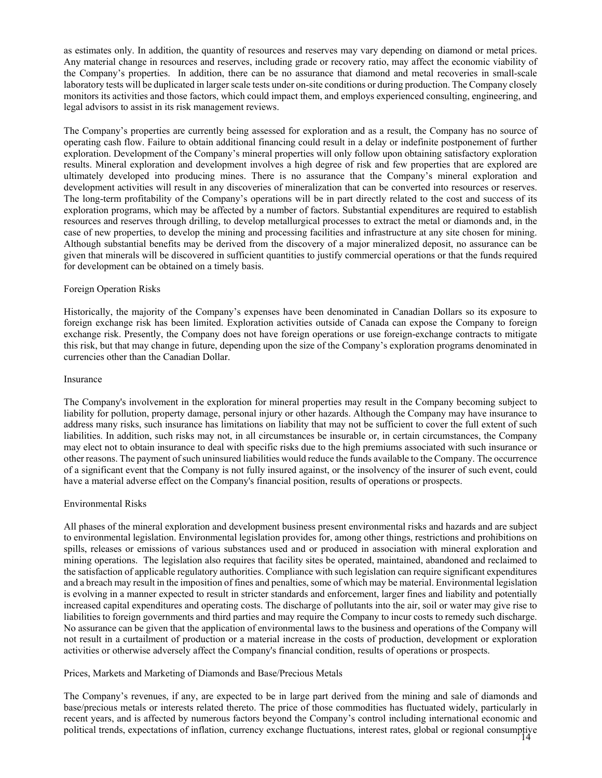as estimates only. In addition, the quantity of resources and reserves may vary depending on diamond or metal prices. Any material change in resources and reserves, including grade or recovery ratio, may affect the economic viability of the Company's properties. In addition, there can be no assurance that diamond and metal recoveries in small-scale laboratory tests will be duplicated in larger scale tests under on-site conditions or during production. The Company closely monitors its activities and those factors, which could impact them, and employs experienced consulting, engineering, and legal advisors to assist in its risk management reviews.

The Company's properties are currently being assessed for exploration and as a result, the Company has no source of operating cash flow. Failure to obtain additional financing could result in a delay or indefinite postponement of further exploration. Development of the Company's mineral properties will only follow upon obtaining satisfactory exploration results. Mineral exploration and development involves a high degree of risk and few properties that are explored are ultimately developed into producing mines. There is no assurance that the Company's mineral exploration and development activities will result in any discoveries of mineralization that can be converted into resources or reserves. The long-term profitability of the Company's operations will be in part directly related to the cost and success of its exploration programs, which may be affected by a number of factors. Substantial expenditures are required to establish resources and reserves through drilling, to develop metallurgical processes to extract the metal or diamonds and, in the case of new properties, to develop the mining and processing facilities and infrastructure at any site chosen for mining. Although substantial benefits may be derived from the discovery of a major mineralized deposit, no assurance can be given that minerals will be discovered in sufficient quantities to justify commercial operations or that the funds required for development can be obtained on a timely basis.

## Foreign Operation Risks

Historically, the majority of the Company's expenses have been denominated in Canadian Dollars so its exposure to foreign exchange risk has been limited. Exploration activities outside of Canada can expose the Company to foreign exchange risk. Presently, the Company does not have foreign operations or use foreign-exchange contracts to mitigate this risk, but that may change in future, depending upon the size of the Company's exploration programs denominated in currencies other than the Canadian Dollar.

#### Insurance

The Company's involvement in the exploration for mineral properties may result in the Company becoming subject to liability for pollution, property damage, personal injury or other hazards. Although the Company may have insurance to address many risks, such insurance has limitations on liability that may not be sufficient to cover the full extent of such liabilities. In addition, such risks may not, in all circumstances be insurable or, in certain circumstances, the Company may elect not to obtain insurance to deal with specific risks due to the high premiums associated with such insurance or other reasons. The payment of such uninsured liabilities would reduce the funds available to the Company. The occurrence of a significant event that the Company is not fully insured against, or the insolvency of the insurer of such event, could have a material adverse effect on the Company's financial position, results of operations or prospects.

## Environmental Risks

All phases of the mineral exploration and development business present environmental risks and hazards and are subject to environmental legislation. Environmental legislation provides for, among other things, restrictions and prohibitions on spills, releases or emissions of various substances used and or produced in association with mineral exploration and mining operations. The legislation also requires that facility sites be operated, maintained, abandoned and reclaimed to the satisfaction of applicable regulatory authorities. Compliance with such legislation can require significant expenditures and a breach may result in the imposition of fines and penalties, some of which may be material. Environmental legislation is evolving in a manner expected to result in stricter standards and enforcement, larger fines and liability and potentially increased capital expenditures and operating costs. The discharge of pollutants into the air, soil or water may give rise to liabilities to foreign governments and third parties and may require the Company to incur costs to remedy such discharge. No assurance can be given that the application of environmental laws to the business and operations of the Company will not result in a curtailment of production or a material increase in the costs of production, development or exploration activities or otherwise adversely affect the Company's financial condition, results of operations or prospects.

## Prices, Markets and Marketing of Diamonds and Base/Precious Metals

14 political trends, expectations of inflation, currency exchange fluctuations, interest rates, global or regional consumptive The Company's revenues, if any, are expected to be in large part derived from the mining and sale of diamonds and base/precious metals or interests related thereto. The price of those commodities has fluctuated widely, particularly in recent years, and is affected by numerous factors beyond the Company's control including international economic and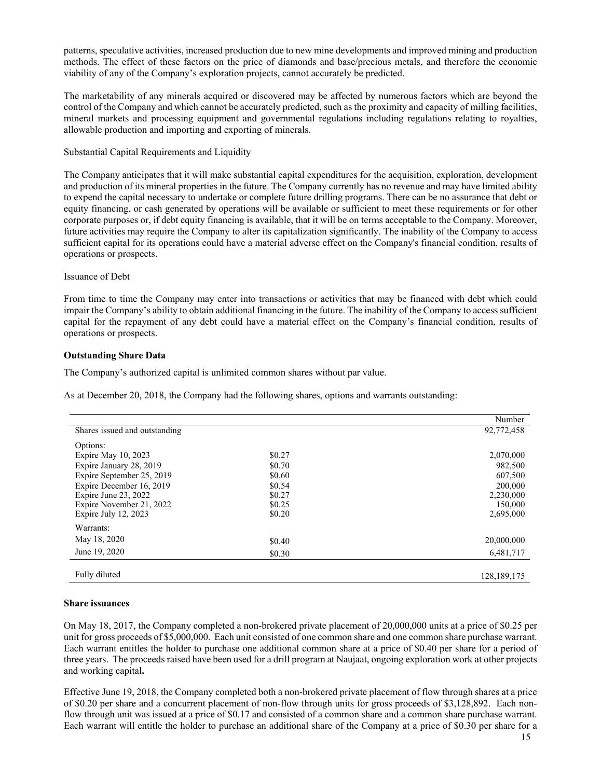patterns, speculative activities, increased production due to new mine developments and improved mining and production methods. The effect of these factors on the price of diamonds and base/precious metals, and therefore the economic viability of any of the Company's exploration projects, cannot accurately be predicted.

The marketability of any minerals acquired or discovered may be affected by numerous factors which are beyond the control of the Company and which cannot be accurately predicted, such as the proximity and capacity of milling facilities, mineral markets and processing equipment and governmental regulations including regulations relating to royalties, allowable production and importing and exporting of minerals.

Substantial Capital Requirements and Liquidity

The Company anticipates that it will make substantial capital expenditures for the acquisition, exploration, development and production of its mineral properties in the future. The Company currently has no revenue and may have limited ability to expend the capital necessary to undertake or complete future drilling programs. There can be no assurance that debt or equity financing, or cash generated by operations will be available or sufficient to meet these requirements or for other corporate purposes or, if debt equity financing is available, that it will be on terms acceptable to the Company. Moreover, future activities may require the Company to alter its capitalization significantly. The inability of the Company to access sufficient capital for its operations could have a material adverse effect on the Company's financial condition, results of operations or prospects.

## Issuance of Debt

From time to time the Company may enter into transactions or activities that may be financed with debt which could impair the Company's ability to obtain additional financing in the future. The inability of the Company to access sufficient capital for the repayment of any debt could have a material effect on the Company's financial condition, results of operations or prospects.

# **Outstanding Share Data**

The Company's authorized capital is unlimited common shares without par value.

As at December 20, 2018, the Company had the following shares, options and warrants outstanding:

|                               |        | Number        |
|-------------------------------|--------|---------------|
| Shares issued and outstanding |        | 92,772,458    |
| Options:                      |        |               |
| Expire May 10, 2023           | \$0.27 | 2,070,000     |
| Expire January 28, 2019       | \$0.70 | 982,500       |
| Expire September 25, 2019     | \$0.60 | 607,500       |
| Expire December 16, 2019      | \$0.54 | 200,000       |
| Expire June 23, 2022          | \$0.27 | 2,230,000     |
| Expire November 21, 2022      | \$0.25 | 150,000       |
| Expire July 12, 2023          | \$0.20 | 2,695,000     |
| Warrants:                     |        |               |
| May 18, 2020                  | \$0.40 | 20,000,000    |
| June 19, 2020                 | \$0.30 | 6,481,717     |
|                               |        |               |
| Fully diluted                 |        | 128, 189, 175 |

## **Share issuances**

On May 18, 2017, the Company completed a non-brokered private placement of 20,000,000 units at a price of \$0.25 per unit for gross proceeds of \$5,000,000. Each unit consisted of one common share and one common share purchase warrant. Each warrant entitles the holder to purchase one additional common share at a price of \$0.40 per share for a period of three years. The proceeds raised have been used for a drill program at Naujaat, ongoing exploration work at other projects and working capital**.** 

Effective June 19, 2018, the Company completed both a non-brokered private placement of flow through shares at a price of \$0.20 per share and a concurrent placement of non-flow through units for gross proceeds of \$3,128,892. Each nonflow through unit was issued at a price of \$0.17 and consisted of a common share and a common share purchase warrant. Each warrant will entitle the holder to purchase an additional share of the Company at a price of \$0.30 per share for a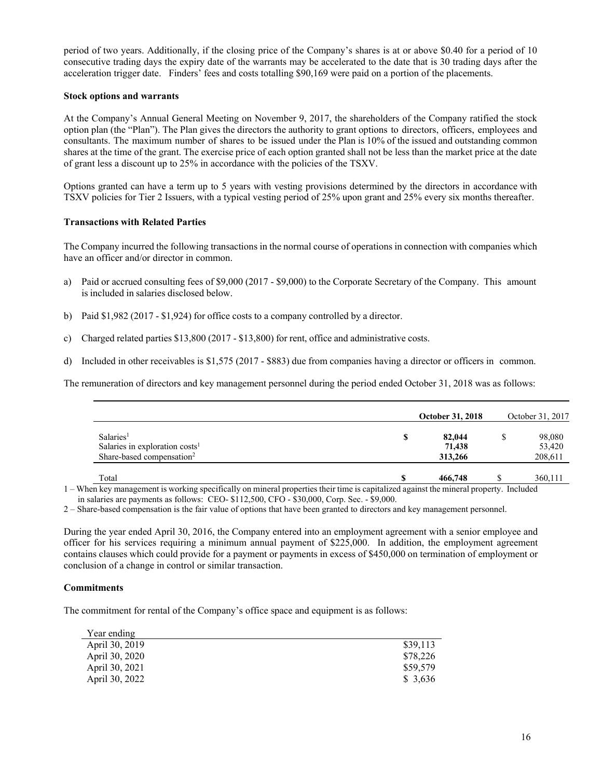period of two years. Additionally, if the closing price of the Company's shares is at or above \$0.40 for a period of 10 consecutive trading days the expiry date of the warrants may be accelerated to the date that is 30 trading days after the acceleration trigger date. Finders' fees and costs totalling \$90,169 were paid on a portion of the placements.

## **Stock options and warrants**

At the Company's Annual General Meeting on November 9, 2017, the shareholders of the Company ratified the stock option plan (the "Plan"). The Plan gives the directors the authority to grant options to directors, officers, employees and consultants. The maximum number of shares to be issued under the Plan is 10% of the issued and outstanding common shares at the time of the grant. The exercise price of each option granted shall not be less than the market price at the date of grant less a discount up to 25% in accordance with the policies of the TSXV.

Options granted can have a term up to 5 years with vesting provisions determined by the directors in accordance with TSXV policies for Tier 2 Issuers, with a typical vesting period of 25% upon grant and 25% every six months thereafter.

# **Transactions with Related Parties**

The Company incurred the following transactions in the normal course of operations in connection with companies which have an officer and/or director in common.

- a) Paid or accrued consulting fees of \$9,000 (2017 \$9,000) to the Corporate Secretary of the Company. This amount is included in salaries disclosed below.
- b) Paid \$1,982 (2017 \$1,924) for office costs to a company controlled by a director.
- c) Charged related parties \$13,800 (2017 \$13,800) for rent, office and administrative costs.
- d) Included in other receivables is \$1,575 (2017 \$883) due from companies having a director or officers in common.

The remuneration of directors and key management personnel during the period ended October 31, 2018 was as follows:

|                                                                                                              | <b>October 31, 2018</b>     | October 31, 2017            |
|--------------------------------------------------------------------------------------------------------------|-----------------------------|-----------------------------|
| Salaries <sup>1</sup><br>Salaries in exploration costs <sup>1</sup><br>Share-based compensation <sup>2</sup> | 82,044<br>71.438<br>313,266 | 98,080<br>53,420<br>208,611 |
| Total                                                                                                        | 466,748                     | 360,111                     |

1 – When key management is working specifically on mineral properties their time is capitalized against the mineral property. Included in salaries are payments as follows: CEO- \$112,500, CFO - \$30,000, Corp. Sec. - \$9,000.

2 – Share-based compensation is the fair value of options that have been granted to directors and key management personnel.

During the year ended April 30, 2016, the Company entered into an employment agreement with a senior employee and officer for his services requiring a minimum annual payment of \$225,000. In addition, the employment agreement contains clauses which could provide for a payment or payments in excess of \$450,000 on termination of employment or conclusion of a change in control or similar transaction.

## **Commitments**

The commitment for rental of the Company's office space and equipment is as follows:

| Year ending    |          |
|----------------|----------|
| April 30, 2019 | \$39,113 |
| April 30, 2020 | \$78,226 |
| April 30, 2021 | \$59,579 |
| April 30, 2022 | \$3.636  |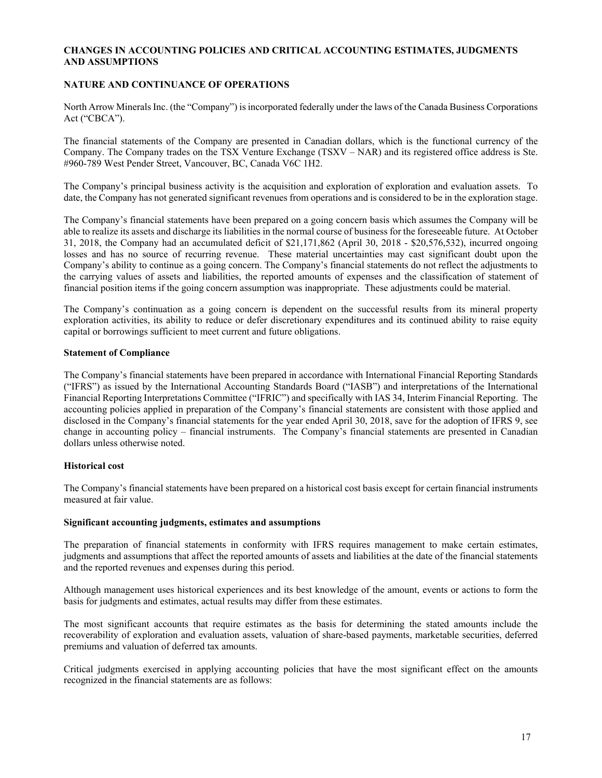# **CHANGES IN ACCOUNTING POLICIES AND CRITICAL ACCOUNTING ESTIMATES, JUDGMENTS AND ASSUMPTIONS**

## **NATURE AND CONTINUANCE OF OPERATIONS**

North Arrow Minerals Inc. (the "Company") is incorporated federally under the laws of the Canada Business Corporations Act ("CBCA").

The financial statements of the Company are presented in Canadian dollars, which is the functional currency of the Company. The Company trades on the TSX Venture Exchange (TSXV – NAR) and its registered office address is Ste. #960-789 West Pender Street, Vancouver, BC, Canada V6C 1H2.

The Company's principal business activity is the acquisition and exploration of exploration and evaluation assets. To date, the Company has not generated significant revenues from operations and is considered to be in the exploration stage.

The Company's financial statements have been prepared on a going concern basis which assumes the Company will be able to realize its assets and discharge its liabilities in the normal course of business for the foreseeable future. At October 31, 2018, the Company had an accumulated deficit of \$21,171,862 (April 30, 2018 - \$20,576,532), incurred ongoing losses and has no source of recurring revenue. These material uncertainties may cast significant doubt upon the Company's ability to continue as a going concern. The Company's financial statements do not reflect the adjustments to the carrying values of assets and liabilities, the reported amounts of expenses and the classification of statement of financial position items if the going concern assumption was inappropriate. These adjustments could be material.

The Company's continuation as a going concern is dependent on the successful results from its mineral property exploration activities, its ability to reduce or defer discretionary expenditures and its continued ability to raise equity capital or borrowings sufficient to meet current and future obligations.

## **Statement of Compliance**

The Company's financial statements have been prepared in accordance with International Financial Reporting Standards ("IFRS") as issued by the International Accounting Standards Board ("IASB") and interpretations of the International Financial Reporting Interpretations Committee ("IFRIC") and specifically with IAS 34, Interim Financial Reporting. The accounting policies applied in preparation of the Company's financial statements are consistent with those applied and disclosed in the Company's financial statements for the year ended April 30, 2018, save for the adoption of IFRS 9, see change in accounting policy – financial instruments. The Company's financial statements are presented in Canadian dollars unless otherwise noted.

## **Historical cost**

The Company's financial statements have been prepared on a historical cost basis except for certain financial instruments measured at fair value.

## **Significant accounting judgments, estimates and assumptions**

The preparation of financial statements in conformity with IFRS requires management to make certain estimates, judgments and assumptions that affect the reported amounts of assets and liabilities at the date of the financial statements and the reported revenues and expenses during this period.

Although management uses historical experiences and its best knowledge of the amount, events or actions to form the basis for judgments and estimates, actual results may differ from these estimates.

The most significant accounts that require estimates as the basis for determining the stated amounts include the recoverability of exploration and evaluation assets, valuation of share-based payments, marketable securities, deferred premiums and valuation of deferred tax amounts.

Critical judgments exercised in applying accounting policies that have the most significant effect on the amounts recognized in the financial statements are as follows: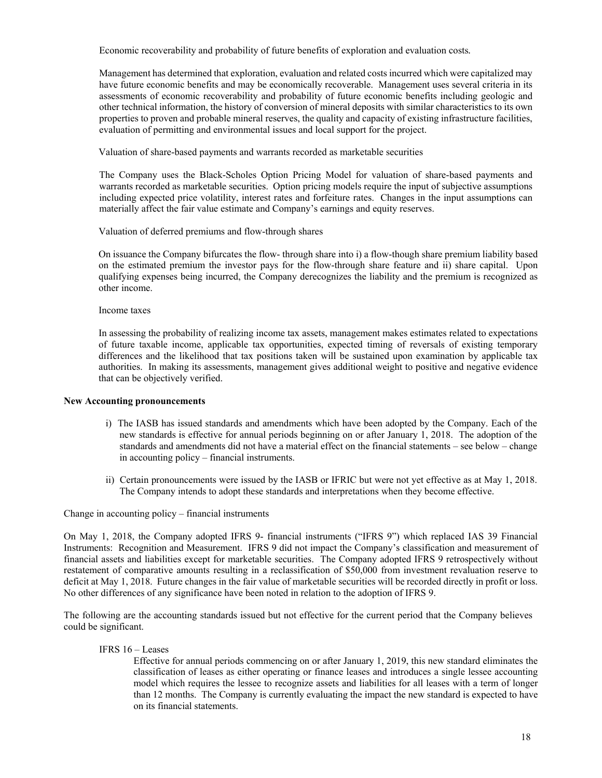Economic recoverability and probability of future benefits of exploration and evaluation costs*.* 

Management has determined that exploration, evaluation and related costs incurred which were capitalized may have future economic benefits and may be economically recoverable. Management uses several criteria in its assessments of economic recoverability and probability of future economic benefits including geologic and other technical information, the history of conversion of mineral deposits with similar characteristics to its own properties to proven and probable mineral reserves, the quality and capacity of existing infrastructure facilities, evaluation of permitting and environmental issues and local support for the project.

Valuation of share-based payments and warrants recorded as marketable securities

The Company uses the Black-Scholes Option Pricing Model for valuation of share-based payments and warrants recorded as marketable securities. Option pricing models require the input of subjective assumptions including expected price volatility, interest rates and forfeiture rates. Changes in the input assumptions can materially affect the fair value estimate and Company's earnings and equity reserves.

Valuation of deferred premiums and flow-through shares

On issuance the Company bifurcates the flow- through share into i) a flow-though share premium liability based on the estimated premium the investor pays for the flow-through share feature and ii) share capital. Upon qualifying expenses being incurred, the Company derecognizes the liability and the premium is recognized as other income.

Income taxes

In assessing the probability of realizing income tax assets, management makes estimates related to expectations of future taxable income, applicable tax opportunities, expected timing of reversals of existing temporary differences and the likelihood that tax positions taken will be sustained upon examination by applicable tax authorities. In making its assessments, management gives additional weight to positive and negative evidence that can be objectively verified.

## **New Accounting pronouncements**

- i) The IASB has issued standards and amendments which have been adopted by the Company. Each of the new standards is effective for annual periods beginning on or after January 1, 2018. The adoption of the standards and amendments did not have a material effect on the financial statements – see below – change in accounting policy – financial instruments.
- ii) Certain pronouncements were issued by the IASB or IFRIC but were not yet effective as at May 1, 2018. The Company intends to adopt these standards and interpretations when they become effective.

Change in accounting policy – financial instruments

On May 1, 2018, the Company adopted IFRS 9- financial instruments ("IFRS 9") which replaced IAS 39 Financial Instruments: Recognition and Measurement. IFRS 9 did not impact the Company's classification and measurement of financial assets and liabilities except for marketable securities. The Company adopted IFRS 9 retrospectively without restatement of comparative amounts resulting in a reclassification of \$50,000 from investment revaluation reserve to deficit at May 1, 2018. Future changes in the fair value of marketable securities will be recorded directly in profit or loss. No other differences of any significance have been noted in relation to the adoption of IFRS 9.

The following are the accounting standards issued but not effective for the current period that the Company believes could be significant.

IFRS 16 – Leases

Effective for annual periods commencing on or after January 1, 2019, this new standard eliminates the classification of leases as either operating or finance leases and introduces a single lessee accounting model which requires the lessee to recognize assets and liabilities for all leases with a term of longer than 12 months. The Company is currently evaluating the impact the new standard is expected to have on its financial statements.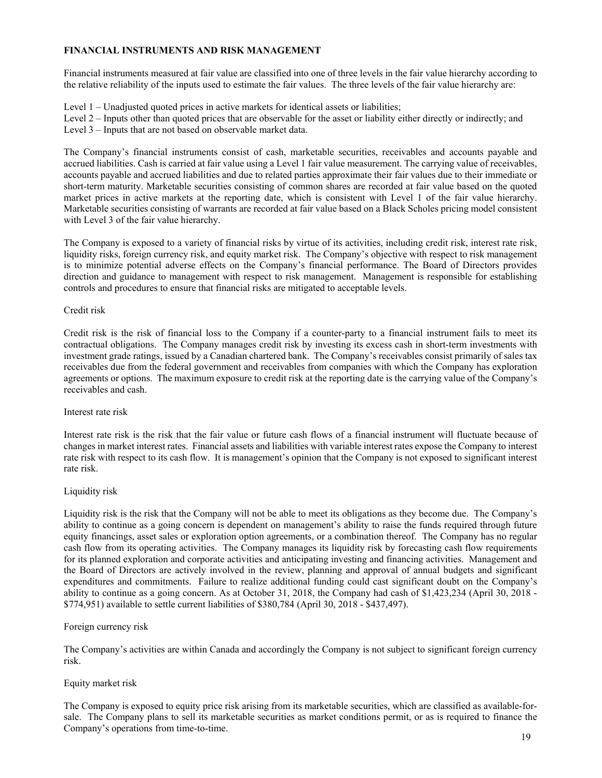# **FINANCIAL INSTRUMENTS AND RISK MANAGEMENT**

Financial instruments measured at fair value are classified into one of three levels in the fair value hierarchy according to the relative reliability of the inputs used to estimate the fair values. The three levels of the fair value hierarchy are:

Level 1 – Unadjusted quoted prices in active markets for identical assets or liabilities;

Level 2 – Inputs other than quoted prices that are observable for the asset or liability either directly or indirectly; and Level 3 – Inputs that are not based on observable market data.

The Company's financial instruments consist of cash, marketable securities, receivables and accounts payable and accrued liabilities. Cash is carried at fair value using a Level 1 fair value measurement. The carrying value of receivables, accounts payable and accrued liabilities and due to related parties approximate their fair values due to their immediate or short-term maturity. Marketable securities consisting of common shares are recorded at fair value based on the quoted market prices in active markets at the reporting date, which is consistent with Level 1 of the fair value hierarchy. Marketable securities consisting of warrants are recorded at fair value based on a Black Scholes pricing model consistent with Level 3 of the fair value hierarchy.

The Company is exposed to a variety of financial risks by virtue of its activities, including credit risk, interest rate risk, liquidity risks, foreign currency risk, and equity market risk. The Company's objective with respect to risk management is to minimize potential adverse effects on the Company's financial performance. The Board of Directors provides direction and guidance to management with respect to risk management. Management is responsible for establishing controls and procedures to ensure that financial risks are mitigated to acceptable levels.

## Credit risk

Credit risk is the risk of financial loss to the Company if a counter-party to a financial instrument fails to meet its contractual obligations. The Company manages credit risk by investing its excess cash in short-term investments with investment grade ratings, issued by a Canadian chartered bank. The Company's receivables consist primarily of sales tax receivables due from the federal government and receivables from companies with which the Company has exploration agreements or options. The maximum exposure to credit risk at the reporting date is the carrying value of the Company's receivables and cash.

## Interest rate risk

Interest rate risk is the risk that the fair value or future cash flows of a financial instrument will fluctuate because of changes in market interest rates. Financial assets and liabilities with variable interest rates expose the Company to interest rate risk with respect to its cash flow. It is management's opinion that the Company is not exposed to significant interest rate risk.

# Liquidity risk

Liquidity risk is the risk that the Company will not be able to meet its obligations as they become due. The Company's ability to continue as a going concern is dependent on management's ability to raise the funds required through future equity financings, asset sales or exploration option agreements, or a combination thereof. The Company has no regular cash flow from its operating activities. The Company manages its liquidity risk by forecasting cash flow requirements for its planned exploration and corporate activities and anticipating investing and financing activities. Management and the Board of Directors are actively involved in the review, planning and approval of annual budgets and significant expenditures and commitments. Failure to realize additional funding could cast significant doubt on the Company's ability to continue as a going concern. As at October 31, 2018, the Company had cash of \$1,423,234 (April 30, 2018 - \$774,951) available to settle current liabilities of \$380,784 (April 30, 2018 - \$437,497).

# Foreign currency risk

The Company's activities are within Canada and accordingly the Company is not subject to significant foreign currency risk.

# Equity market risk

The Company is exposed to equity price risk arising from its marketable securities, which are classified as available-forsale. The Company plans to sell its marketable securities as market conditions permit, or as is required to finance the Company's operations from time-to-time.